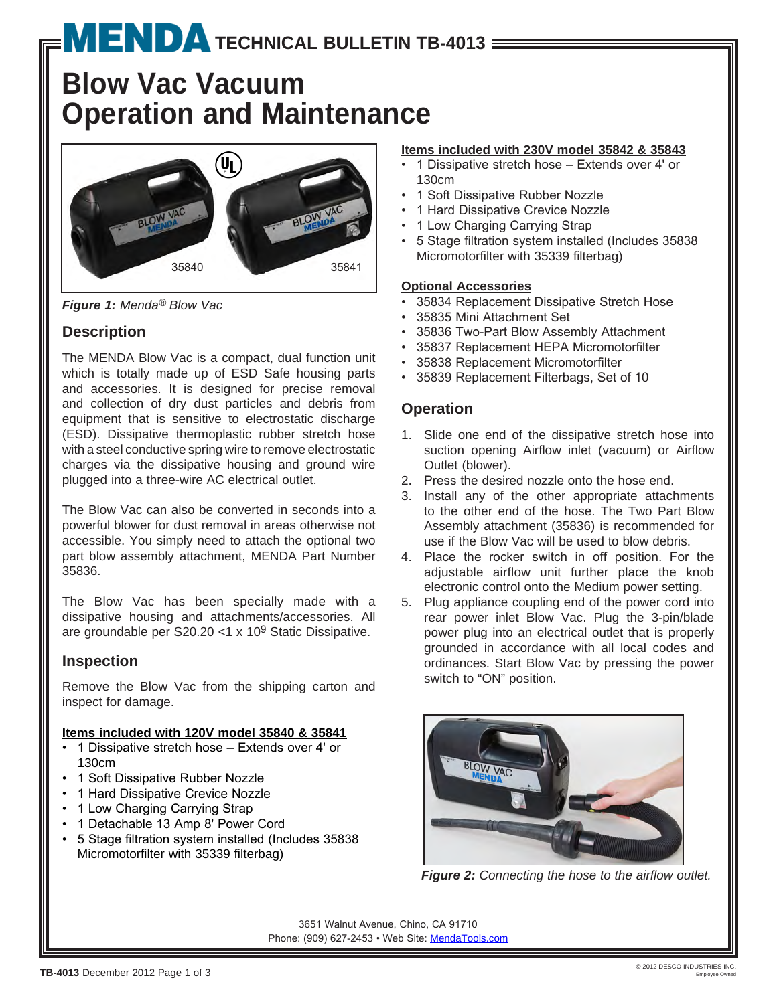# **MENDA** [T](http://www.mendapump.com)ECHNICAL BULLETIN TB-4013 =

# **Blow Vac Vacuum Operation and Maintenance**



*Figure 1: Menda® Blow Vac*

# **Description**

The MENDA Blow Vac is a compact, dual function unit which is totally made up of ESD Safe housing parts and accessories. It is designed for precise removal and collection of dry dust particles and debris from equipment that is sensitive to electrostatic discharge (ESD). Dissipative thermoplastic rubber stretch hose with a steel conductive spring wire to remove electrostatic charges via the dissipative housing and ground wire plugged into a three-wire AC electrical outlet.

The Blow Vac can also be converted in seconds into a powerful blower for dust removal in areas otherwise not accessible. You simply need to attach the optional two part blow assembly attachment, MENDA Part Number 35836.

The Blow Vac has been specially made with a dissipative housing and attachments/accessories. All are groundable per S20.20 <1 x 109 Static Dissipative.

## **Inspection**

Remove the Blow Vac from the shipping carton and inspect for damage.

#### **Items included with 120V model 35840 & 35841**

- 1 Dissipative stretch hose Extends over 4' or 130cm
- 1 Soft Dissipative Rubber Nozzle
- 1 Hard Dissipative Crevice Nozzle
- 1 Low Charging Carrying Strap
- 1 Detachable 13 Amp 8' Power Cord
- • 5 Stage filtration system installed (Includes 35838 Micromotorfilter with 35339 filterbag)

#### **Items included with 230V model 35842 & 35843**

- • 1 Dissipative stretch hose Extends over 4' or 130cm
- 1 Soft Dissipative Rubber Nozzle
- 1 Hard Dissipative Crevice Nozzle
- 1 Low Charging Carrying Strap
- • 5 Stage filtration system installed (Includes 35838 Micromotorfilter with 35339 filterbag)

#### **Optional Accessories**

- 35834 Replacement Dissipative Stretch Hose
- • 35835 Mini Attachment Set
- • 35836 Two-Part Blow Assembly Attachment
- • 35837 Replacement HEPA Micromotorfilter
- • 35838 Replacement Micromotorfilter
- • 35839 Replacement Filterbags, Set of 10

## **Operation**

- 1. Slide one end of the dissipative stretch hose into suction opening Airflow inlet (vacuum) or Airflow Outlet (blower).
- 2. Press the desired nozzle onto the hose end.
- 3. Install any of the other appropriate attachments to the other end of the hose. The Two Part Blow Assembly attachment (35836) is recommended for use if the Blow Vac will be used to blow debris.
- 4. Place the rocker switch in off position. For the adjustable airflow unit further place the knob electronic control onto the Medium power setting.
- 5. Plug appliance coupling end of the power cord into rear power inlet Blow Vac. Plug the 3-pin/blade power plug into an electrical outlet that is properly grounded in accordance with all local codes and ordinances. Start Blow Vac by pressing the power switch to "ON" position.



*Figure 2: Connecting the hose to the airflow outlet.*

3651 Walnut Avenue, Chino, CA 91710 Phone: (909) 627-2453 • Web Site: [MendaT](http://www.mendapump.com)ools.com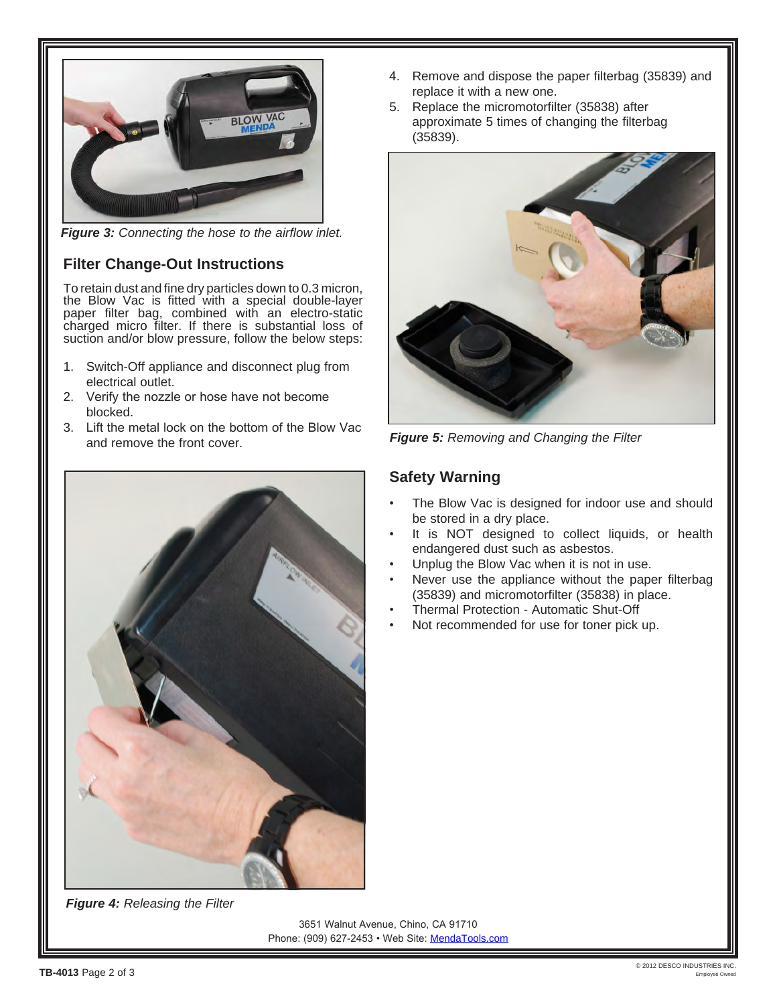

*Figure 3: Connecting the hose to the airflow inlet.*

## **Filter Change-Out Instructions**

To retain dust and fine dry particles down to 0.3 micron, the Blow Vac is fitted with a special double-layer paper filter bag, combined with an electro-static charged micro filter. If there is substantial loss of suction and/or blow pressure, follow the below steps:

- 1. Switch-Off appliance and disconnect plug from electrical outlet.
- 2. Verify the nozzle or hose have not become blocked.
- 3. Lift the metal lock on the bottom of the Blow Vac and remove the front cover.



*Figure 4: Releasing the Filter*

- 4. Remove and dispose the paper filterbag (35839) and replace it with a new one.
- 5. Replace the micromotorfilter (35838) after approximate 5 times of changing the filterbag (35839).



*Figure 5: Removing and Changing the Filter*

#### **Safety Warning**

- The Blow Vac is designed for indoor use and should be stored in a dry place.
- It is NOT designed to collect liquids, or health endangered dust such as asbestos.
- Unplug the Blow Vac when it is not in use.
- Never use the appliance without the paper filterbag (35839) and micromotorfilter (35838) in place.
- Thermal Protection Automatic Shut-Off
- Not recommended for use for toner pick up.

3651 Walnut Avenue, Chino, CA 91710 Phone: (909) 627-2453 • Web Site: [MendaT](http://www.mendapump.com)ools.com